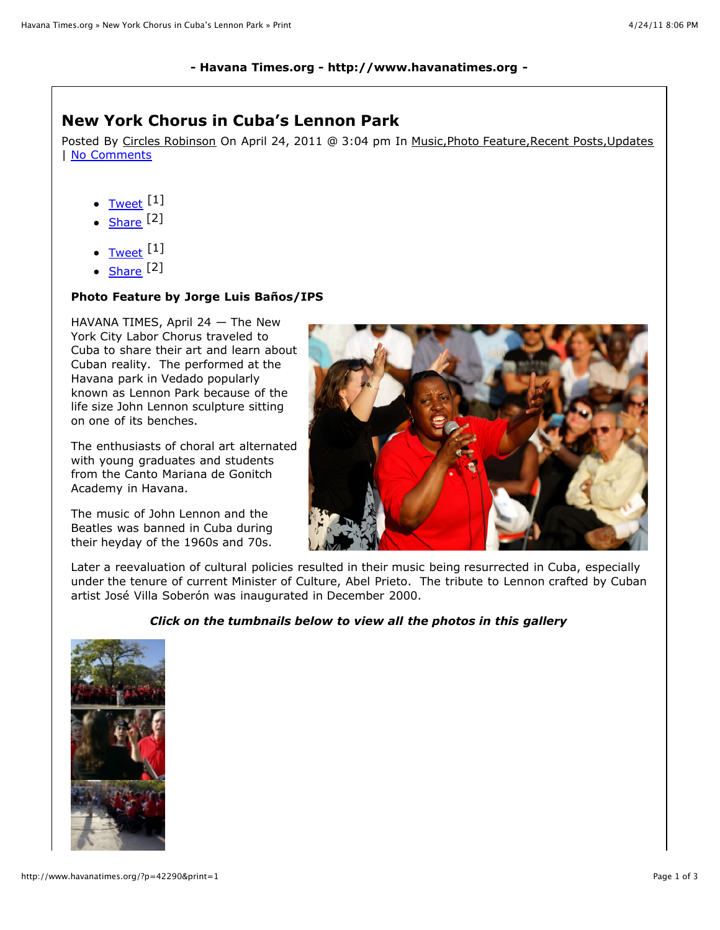## **- Havana Times.org - http://www.havanatimes.org -**

## **New York Chorus in Cuba's Lennon Park**

Posted By Circles Robinson On April 24, 2011 @ 3:04 pm In Music, Photo Feature, Recent Posts, Updates | [No Comments](http://www.havanatimes.org/?p=42290&print=1#comments_controls)

- [Tweet](http://twitter.com/share) [1]
- $\bullet$  [Share](http://www.facebook.com/sharer.php) [2]
- $\bullet$  [Tweet](http://twitter.com/share)  $[1]$
- [Share](http://www.facebook.com/sharer.php) [2]

## **Photo Feature by Jorge Luis Baños/IPS**

HAVANA TIMES, April 24 — The New York City Labor Chorus traveled to Cuba to share their art and learn about Cuban reality. The performed at the Havana park in Vedado popularly known as Lennon Park because of the life size John Lennon sculpture sitting on one of its benches.

The enthusiasts of choral art alternated with young graduates and students from the Canto Mariana de Gonitch Academy in Havana.

The music of John Lennon and the Beatles was banned in Cuba during their heyday of the 1960s and 70s.



Later a reevaluation of cultural policies resulted in their music being resurrected in Cuba, especially under the tenure of current Minister of Culture, Abel Prieto. The tribute to Lennon crafted by Cuban artist José Villa Soberón was inaugurated in December 2000.

## *Click on the tumbnails below to view all the photos in this gallery*

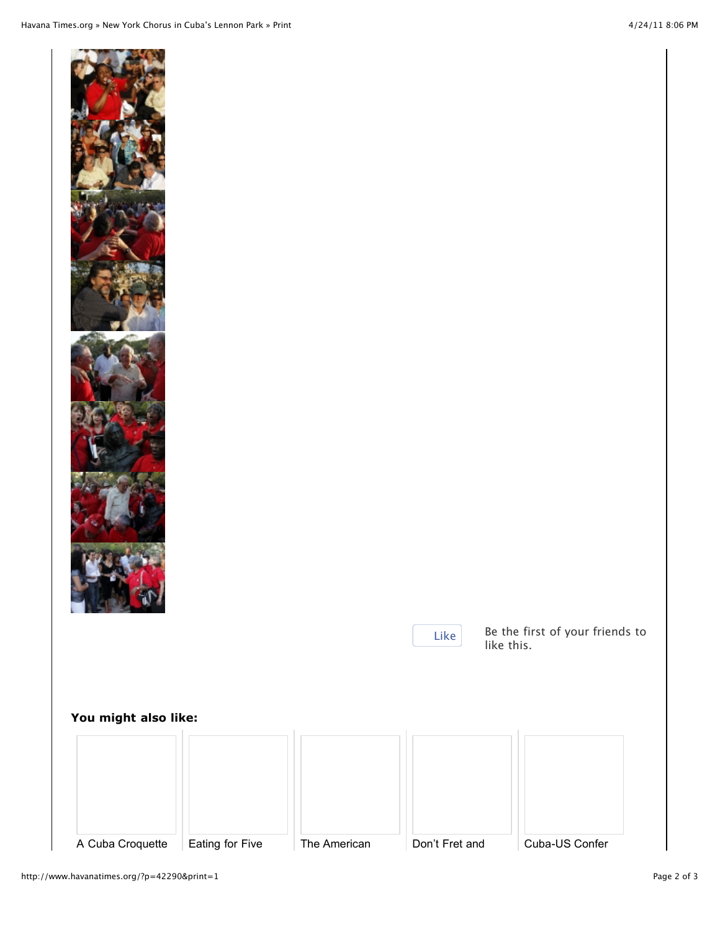